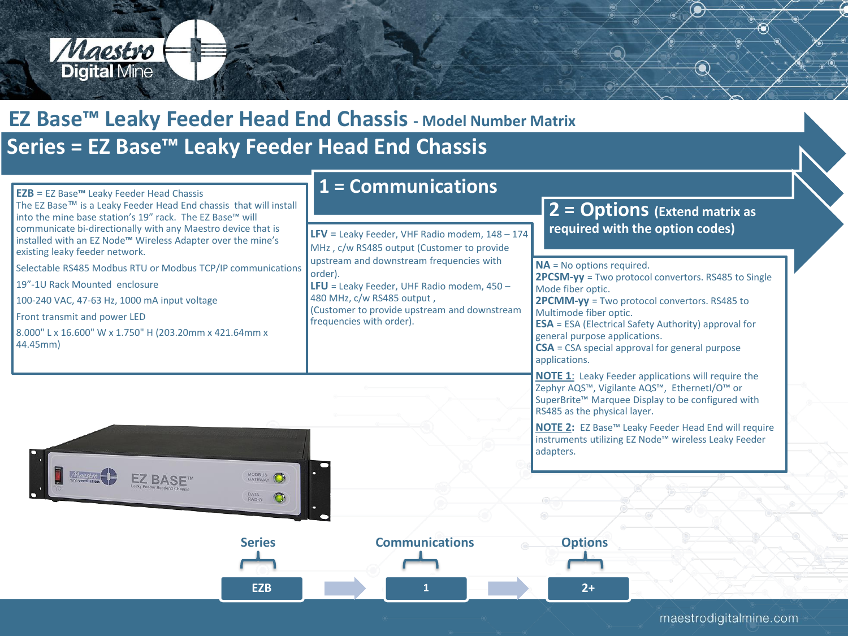

## **Series = EZ Base™ Leaky Feeder Head End Chassis EZ Base™ Leaky Feeder Head End Chassis - Model Number Matrix**

|                                                                                                                                                                                                                                                                                                                                                                                                                                                                                                                                          | 1 = Communications                                                                                                                                                                                                                                                                  |                                                                                                                                                                                                                                                                                                                                                                     |
|------------------------------------------------------------------------------------------------------------------------------------------------------------------------------------------------------------------------------------------------------------------------------------------------------------------------------------------------------------------------------------------------------------------------------------------------------------------------------------------------------------------------------------------|-------------------------------------------------------------------------------------------------------------------------------------------------------------------------------------------------------------------------------------------------------------------------------------|---------------------------------------------------------------------------------------------------------------------------------------------------------------------------------------------------------------------------------------------------------------------------------------------------------------------------------------------------------------------|
| $EZB = EZ Base™$ Leaky Feeder Head Chassis<br>The EZ Base™ is a Leaky Feeder Head End chassis that will install<br>into the mine base station's 19" rack. The EZ Base™ will<br>communicate bi-directionally with any Maestro device that is<br>installed with an EZ Node <sup>™</sup> Wireless Adapter over the mine's<br>existing leaky feeder network.<br>Selectable RS485 Modbus RTU or Modbus TCP/IP communications<br>19"-1U Rack Mounted enclosure<br>100-240 VAC, 47-63 Hz, 1000 mA input voltage<br>Front transmit and power LED | LFV = Leaky Feeder, VHF Radio modem, $148 - 174$<br>MHz, c/w RS485 output (Customer to provide<br>upstream and downstream frequencies with<br>order).<br>LFU = Leaky Feeder, UHF Radio modem, $450 -$<br>480 MHz, c/w RS485 output,<br>(Customer to provide upstream and downstream | $2 =$ Options (Extend matrix as<br>required with the option codes)<br><b>NA</b> = No options required.<br>2PCSM-yy = Two protocol convertors. RS485 to Single<br>Mode fiber optic.<br>2PCMM-yy = Two protocol convertors. RS485 to<br>Multimode fiber optic.                                                                                                        |
| 8.000" L x 16.600" W x 1.750" H (203.20mm x 421.64mm x<br>44.45mm)                                                                                                                                                                                                                                                                                                                                                                                                                                                                       | frequencies with order).                                                                                                                                                                                                                                                            | <b>ESA</b> = ESA (Electrical Safety Authority) approval for<br>general purpose applications.<br>$CSA = CSA$ special approval for general purpose<br>applications.<br><b>NOTE 1:</b> Leaky Feeder applications will require the<br>Zephyr AQS™, Vigilante AQS™, EthernetI/O™ or<br>SuperBrite™ Marquee Display to be configured with<br>RS485 as the physical layer. |
| Maestro <b>H</b><br><b>21180DM</b><br><b>EZ BASE</b><br><b>GATEWAY</b><br><b>DATA</b><br><b>RADIO</b>                                                                                                                                                                                                                                                                                                                                                                                                                                    |                                                                                                                                                                                                                                                                                     | NOTE 2: EZ Base™ Leaky Feeder Head End will require<br>instruments utilizing EZ Node™ wireless Leaky Feeder<br>adapters.                                                                                                                                                                                                                                            |
| <b>Series</b><br><b>EZB</b>                                                                                                                                                                                                                                                                                                                                                                                                                                                                                                              | <b>Communications</b>                                                                                                                                                                                                                                                               | <b>Options</b><br>$2+$                                                                                                                                                                                                                                                                                                                                              |
|                                                                                                                                                                                                                                                                                                                                                                                                                                                                                                                                          |                                                                                                                                                                                                                                                                                     | maestrodigitalmine com                                                                                                                                                                                                                                                                                                                                              |